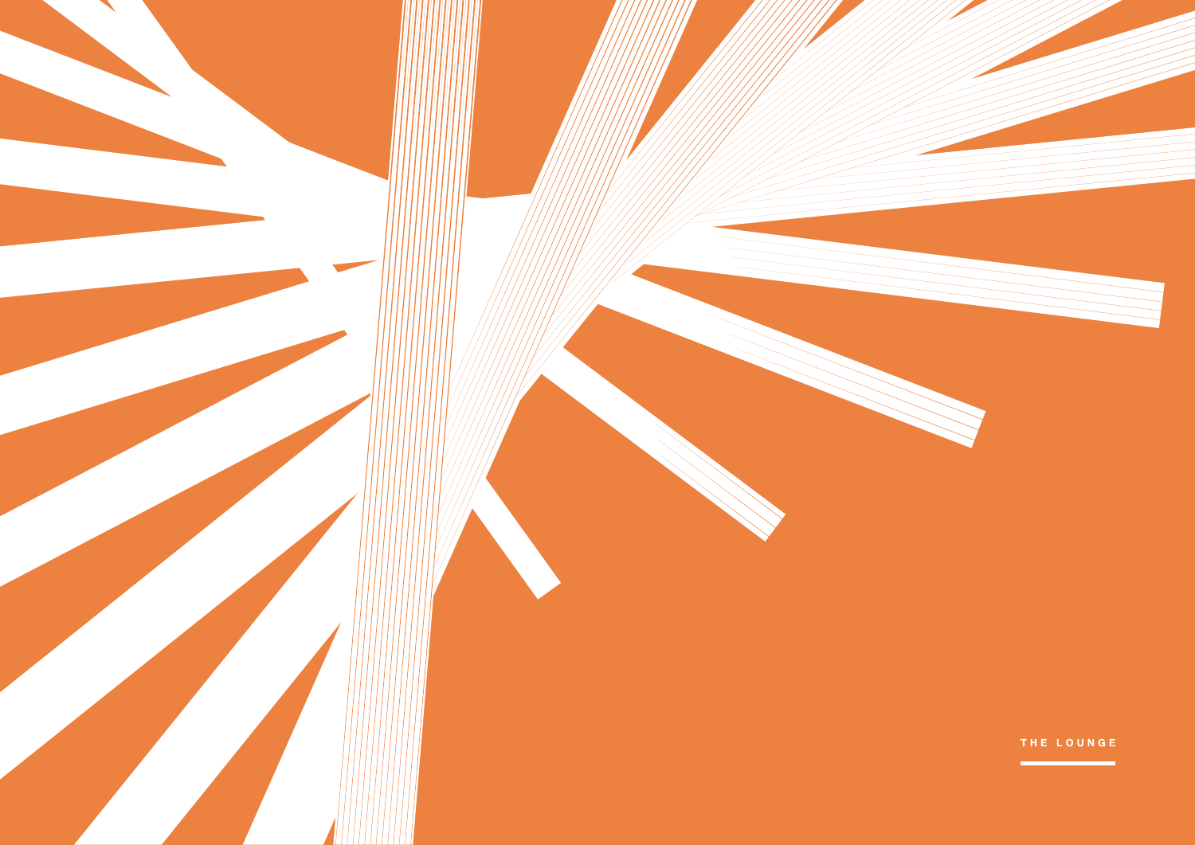